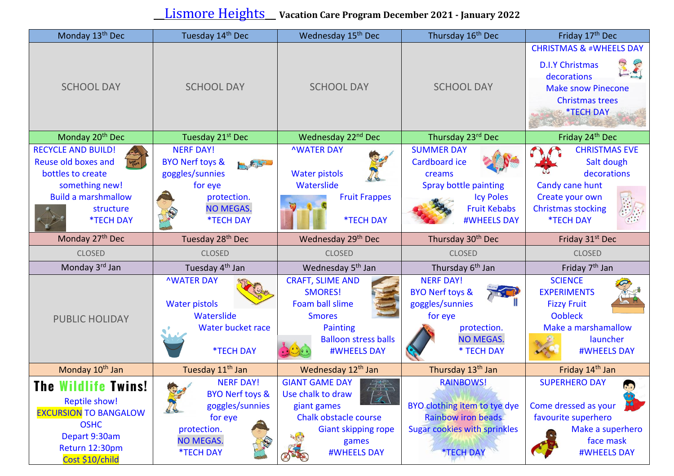## \_\_Lismore Heights\_\_ **Vacation Care Program December <sup>2021</sup> - January <sup>2022</sup>**

| Monday 13 <sup>th</sup> Dec                                                                                                                                       | Tuesday 14th Dec                                                                                                                               | Wednesday 15 <sup>th</sup> Dec                                                                                                                                                 | Thursday 16 <sup>th</sup> Dec                                                                                                                   | Friday 17 <sup>th</sup> Dec                                                                                                                                                 |
|-------------------------------------------------------------------------------------------------------------------------------------------------------------------|------------------------------------------------------------------------------------------------------------------------------------------------|--------------------------------------------------------------------------------------------------------------------------------------------------------------------------------|-------------------------------------------------------------------------------------------------------------------------------------------------|-----------------------------------------------------------------------------------------------------------------------------------------------------------------------------|
| <b>SCHOOL DAY</b>                                                                                                                                                 | <b>SCHOOL DAY</b>                                                                                                                              | <b>SCHOOL DAY</b>                                                                                                                                                              | <b>SCHOOL DAY</b>                                                                                                                               | <b>CHRISTMAS &amp; #WHEELS DAY</b><br><b>D.I.Y Christmas</b><br>医气<br>decorations<br><b>Make snow Pinecone</b><br><b>Christmas trees</b><br><b>*TECH DAY</b>                |
| Monday 20 <sup>th</sup> Dec                                                                                                                                       | Tuesday 21 <sup>st</sup> Dec                                                                                                                   | Wednesday 22 <sup>nd</sup> Dec                                                                                                                                                 | Thursday 23rd Dec                                                                                                                               | Friday 24th Dec                                                                                                                                                             |
| <b>RECYCLE AND BUILD!</b><br>Reuse old boxes and<br>bottles to create<br>something new!<br><b>Build a marshmallow</b><br>structure<br><b>*TECH DAY</b>            | <b>NERF DAY!</b><br><b>BYO Nerf toys &amp;</b><br>5, 8,57<br>goggles/sunnies<br>for eye<br>protection.<br><b>NO MEGAS.</b><br><b>*TECH DAY</b> | <b>NWATER DAY</b><br><b>Water pistols</b><br>Waterslide<br><b>Fruit Frappes</b><br><b>*TECH DAY</b>                                                                            | <b>SUMMER DAY</b><br>Cardboard ice<br>creams<br>Spray bottle painting<br><b>Icy Poles</b><br><b>Fruit Kebabs</b><br><b>#WHEELS DAY</b>          | <b>CHRISTMAS EVE</b><br>Salt dough<br>decorations<br>Candy cane hunt<br>Create your own<br><b>Christmas stocking</b><br><b>*TECH DAY</b>                                    |
| Monday 27 <sup>th</sup> Dec                                                                                                                                       | Tuesday 28th Dec                                                                                                                               | Wednesday 29th Dec                                                                                                                                                             | Thursday 30 <sup>th</sup> Dec                                                                                                                   | Friday 31 <sup>st</sup> Dec                                                                                                                                                 |
| <b>CLOSED</b>                                                                                                                                                     | <b>CLOSED</b>                                                                                                                                  | <b>CLOSED</b>                                                                                                                                                                  | <b>CLOSED</b>                                                                                                                                   | <b>CLOSED</b>                                                                                                                                                               |
| Monday 3rd Jan                                                                                                                                                    | Tuesday 4 <sup>th</sup> Jan                                                                                                                    | Wednesday 5 <sup>th</sup> Jan                                                                                                                                                  | Thursday 6 <sup>th</sup> Jan                                                                                                                    | Friday 7 <sup>th</sup> Jan                                                                                                                                                  |
| <b>PUBLIC HOLIDAY</b>                                                                                                                                             | <b>NWATER DAY</b><br><b>Water pistols</b><br>Waterslide<br>Water bucket race<br><b>*TECH DAY</b>                                               | <b>CRAFT, SLIME AND</b><br><b>SMORES!</b><br>Foam ball slime<br><b>Smores</b><br><b>Painting</b><br><b>Balloon stress balls</b><br><b>#WHEELS DAY</b>                          | <b>NERF DAY!</b><br><b>BYO Nerf toys &amp;</b><br>goggles/sunnies<br>for eye<br>protection.<br><b>NO MEGAS.</b><br>* TECH DAY                   | <b>SCIENCE</b><br><b>EXPERIMENTS</b><br><b>Fizzy Fruit</b><br><b>Oobleck</b><br>Make a marshamallow<br>launcher<br><b>#WHEELS DAY</b>                                       |
| Monday 10 <sup>th</sup> Jan                                                                                                                                       | Tuesday 11 <sup>th</sup> Jan                                                                                                                   | Wednesday 12 <sup>th</sup> Jan                                                                                                                                                 | Thursday 13 <sup>th</sup> Jan                                                                                                                   | Friday 14 <sup>th</sup> Jan                                                                                                                                                 |
| <b>Wildlife Twins!</b><br><b>The</b><br><b>Reptile show!</b><br><b>EXCURSION TO BANGALOW</b><br><b>OSHC</b><br>Depart 9:30am<br>Return 12:30pm<br>Cost \$10/child | <b>NERF DAY!</b><br><b>BYO Nerf toys &amp;</b><br>goggles/sunnies<br>for eye<br>protection.<br><b>NO MEGAS.</b><br><b><i>*TECH DAY</i></b>     | <b>GIANT GAME DAY</b><br>Use chalk to draw $\frac{\sqrt{7512}}{\sqrt{7}}$<br>giant games<br>Chalk obstacle course<br><b>Giant skipping rope</b><br>games<br><b>#WHEELS DAY</b> | <b>RAINBOWS!</b><br>BYO clothing item to tye dye<br><b>Rainbow iron beads</b><br><b>Sugar cookies with sprinkles</b><br><b><i>*TECH DAY</i></b> | <b>SUPERHERO DAY</b><br>$\begin{pmatrix} 1 \\ -1 \end{pmatrix}$<br>54<br>Come dressed as your<br>favourite superhero<br>Make a superhero<br>face mask<br><b>#WHEELS DAY</b> |